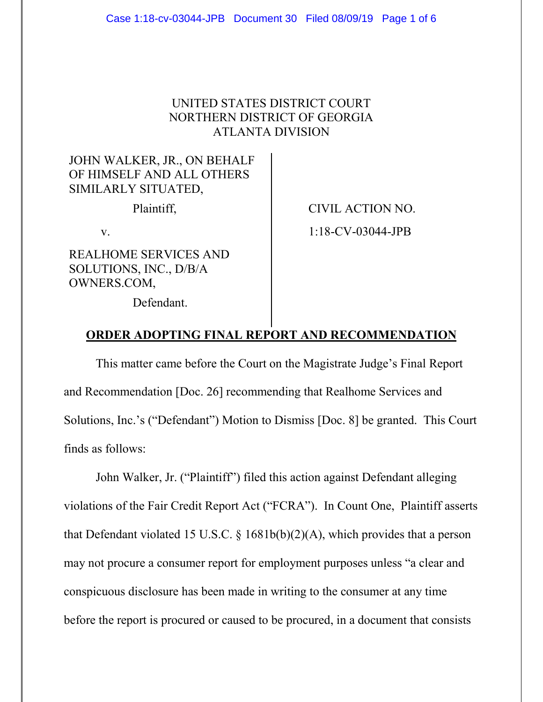## UNITED STATES DISTRICT COURT NORTHERN DISTRICT OF GEORGIA ATLANTA DIVISION

## JOHN WALKER, JR., ON BEHALF OF HIMSELF AND ALL OTHERS SIMILARLY SITUATED,

REALHOME SERVICES AND SOLUTIONS, INC., D/B/A OWNERS.COM,

Plaintiff,  $\qquad \qquad \qquad$  CIVIL ACTION NO. v. 1:18-CV-03044-JPB

Defendant.

## **ORDER ADOPTING FINAL REPORT AND RECOMMENDATION**

This matter came before the Court on the Magistrate Judge's Final Report and Recommendation [Doc. 26] recommending that Realhome Services and Solutions, Inc.'s ("Defendant") Motion to Dismiss [Doc. 8] be granted. This Court finds as follows:

John Walker, Jr. ("Plaintiff") filed this action against Defendant alleging violations of the Fair Credit Report Act ("FCRA"). In Count One, Plaintiff asserts that Defendant violated 15 U.S.C. § 1681b(b)(2)(A), which provides that a person may not procure a consumer report for employment purposes unless "a clear and conspicuous disclosure has been made in writing to the consumer at any time before the report is procured or caused to be procured, in a document that consists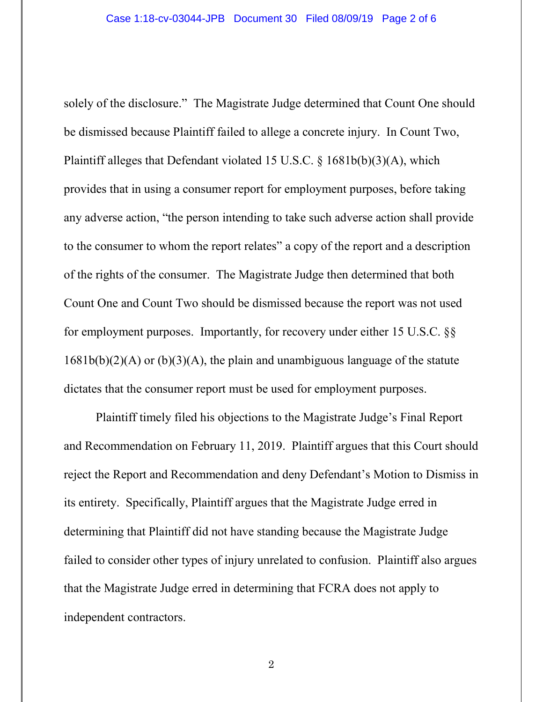solely of the disclosure." The Magistrate Judge determined that Count One should be dismissed because Plaintiff failed to allege a concrete injury. In Count Two, Plaintiff alleges that Defendant violated 15 U.S.C. § 1681b(b)(3)(A), which provides that in using a consumer report for employment purposes, before taking any adverse action, "the person intending to take such adverse action shall provide to the consumer to whom the report relates" a copy of the report and a description of the rights of the consumer. The Magistrate Judge then determined that both Count One and Count Two should be dismissed because the report was not used for employment purposes. Importantly, for recovery under either 15 U.S.C. §§  $1681b(b)(2)(A)$  or  $(b)(3)(A)$ , the plain and unambiguous language of the statute dictates that the consumer report must be used for employment purposes.

Plaintiff timely filed his objections to the Magistrate Judge's Final Report and Recommendation on February 11, 2019. Plaintiff argues that this Court should reject the Report and Recommendation and deny Defendant's Motion to Dismiss in its entirety. Specifically, Plaintiff argues that the Magistrate Judge erred in determining that Plaintiff did not have standing because the Magistrate Judge failed to consider other types of injury unrelated to confusion. Plaintiff also argues that the Magistrate Judge erred in determining that FCRA does not apply to independent contractors.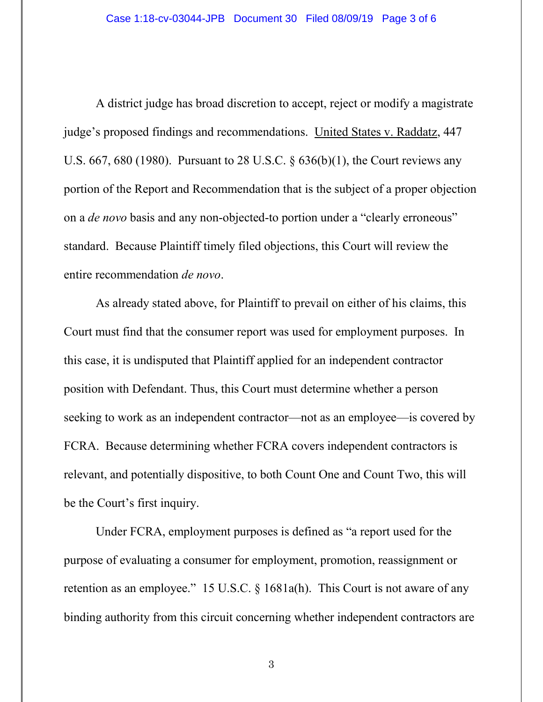A district judge has broad discretion to accept, reject or modify a magistrate judge's proposed findings and recommendations. United States v. Raddatz, 447 U.S. 667, 680 (1980). Pursuant to 28 U.S.C. § 636(b)(1), the Court reviews any portion of the Report and Recommendation that is the subject of a proper objection on a *de novo* basis and any non-objected-to portion under a "clearly erroneous" standard. Because Plaintiff timely filed objections, this Court will review the entire recommendation *de novo*.

As already stated above, for Plaintiff to prevail on either of his claims, this Court must find that the consumer report was used for employment purposes. In this case, it is undisputed that Plaintiff applied for an independent contractor position with Defendant. Thus, this Court must determine whether a person seeking to work as an independent contractor—not as an employee—is covered by FCRA. Because determining whether FCRA covers independent contractors is relevant, and potentially dispositive, to both Count One and Count Two, this will be the Court's first inquiry.

Under FCRA, employment purposes is defined as "a report used for the purpose of evaluating a consumer for employment, promotion, reassignment or retention as an employee." 15 U.S.C. § 1681a(h). This Court is not aware of any binding authority from this circuit concerning whether independent contractors are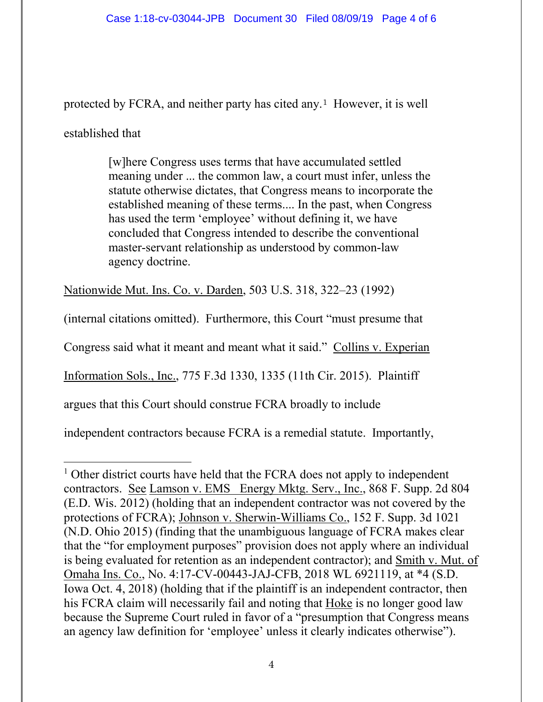protected by FCRA, and neither party has cited any.1 However, it is well

established that

[w]here Congress uses terms that have accumulated settled meaning under ... the common law, a court must infer, unless the statute otherwise dictates, that Congress means to incorporate the established meaning of these terms.... In the past, when Congress has used the term 'employee' without defining it, we have concluded that Congress intended to describe the conventional master-servant relationship as understood by common-law agency doctrine.

Nationwide Mut. Ins. Co. v. Darden, 503 U.S. 318, 322–23 (1992)

(internal citations omitted). Furthermore, this Court "must presume that

Congress said what it meant and meant what it said." Collins v. Experian

Information Sols., Inc., 775 F.3d 1330, 1335 (11th Cir. 2015). Plaintiff

argues that this Court should construe FCRA broadly to include

independent contractors because FCRA is a remedial statute. Importantly,

 $\overline{a}$ <sup>1</sup> Other district courts have held that the FCRA does not apply to independent contractors. See Lamson v. EMS Energy Mktg. Serv., Inc., 868 F. Supp. 2d 804 (E.D. Wis. 2012) (holding that an independent contractor was not covered by the protections of FCRA); Johnson v. Sherwin-Williams Co., 152 F. Supp. 3d 1021 (N.D. Ohio 2015) (finding that the unambiguous language of FCRA makes clear that the "for employment purposes" provision does not apply where an individual is being evaluated for retention as an independent contractor); and Smith v. Mut. of Omaha Ins. Co., No. 4:17-CV-00443-JAJ-CFB, 2018 WL 6921119, at \*4 (S.D. Iowa Oct. 4, 2018) (holding that if the plaintiff is an independent contractor, then his FCRA claim will necessarily fail and noting that Hoke is no longer good law because the Supreme Court ruled in favor of a "presumption that Congress means an agency law definition for 'employee' unless it clearly indicates otherwise").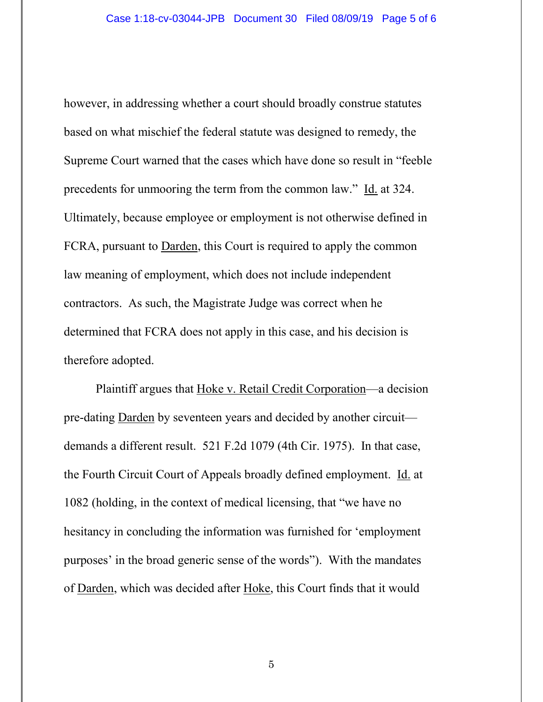however, in addressing whether a court should broadly construe statutes based on what mischief the federal statute was designed to remedy, the Supreme Court warned that the cases which have done so result in "feeble precedents for unmooring the term from the common law." Id. at 324. Ultimately, because employee or employment is not otherwise defined in FCRA, pursuant to Darden, this Court is required to apply the common law meaning of employment, which does not include independent contractors. As such, the Magistrate Judge was correct when he determined that FCRA does not apply in this case, and his decision is therefore adopted.

Plaintiff argues that Hoke v. Retail Credit Corporation—a decision pre-dating Darden by seventeen years and decided by another circuit demands a different result. 521 F.2d 1079 (4th Cir. 1975). In that case, the Fourth Circuit Court of Appeals broadly defined employment. Id. at 1082 (holding, in the context of medical licensing, that "we have no hesitancy in concluding the information was furnished for 'employment purposes' in the broad generic sense of the words"). With the mandates of Darden, which was decided after Hoke, this Court finds that it would

5